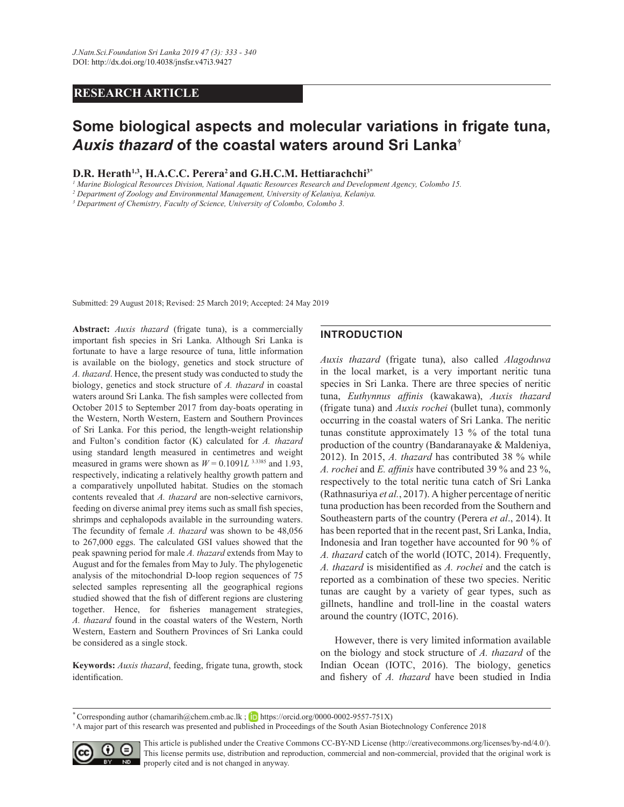# **RESEARCH ARTICLE**

# **Some biological aspects and molecular variations in frigate tuna,**  *Auxis thazard* **of the coastal waters around Sri Lanka†**

**D.R. Herath1,3, H.A.C.C. Perera<sup>2</sup>and G.H.C.M. Hettiarachchi3\***

<sup>1</sup> Marine Biological Resources Division, National Aquatic Resources Research and Development Agency, Colombo 15.

<sup>2</sup> Department of Zoology and Environmental Management, University of Kelaniya, Kelaniya.

<sup>3</sup> Department of Chemistry, Faculty of Science, University of Colombo, Colombo 3.

Submitted: 29 August 2018; Revised: 25 March 2019; Accepted: 24 May 2019

Abstract: *Auxis thazard* (frigate tuna), is a commercially important fish species in Sri Lanka. Although Sri Lanka is fortunate to have a large resource of tuna, little information is available on the biology, genetics and stock structure of *A. thazard.* Hence, the present study was conducted to study the biology, genetics and stock structure of *A. thazard* in coastal waters around Sri Lanka. The fish samples were collected from October 2015 to September 2017 from day-boats operating in the Western, North Western, Eastern and Southern Provinces of Sri Lanka. For this period, the length-weight relationship and Fulton's condition factor (K) calculated for *A. thazard* using standard length measured in centimetres and weight measured in grams were shown as  $W = 0.1091L$ <sup>3.3385</sup> and 1.93, respectively, indicating a relatively healthy growth pattern and a comparatively unpolluted habitat. Studies on the stomach contents revealed that *A. thazard* are non-selective carnivors, feeding on diverse animal prey items such as small fish species, shrimps and cephalopods available in the surrounding waters. The fecundity of female *A. thazard* was shown to be 48,056 to 267,000 eggs. The calculated GSI values showed that the peak spawning period for male *A. thazard* extends from May to August and for the females from May to July. The phylogenetic analysis of the mitochondrial D-loop region sequences of 75 selected samples representing all the geographical regions studied showed that the fish of different regions are clustering together. Hence, for fisheries management strategies, A. thazard found in the coastal waters of the Western, North Western, Eastern and Southern Provinces of Sri Lanka could be considered as a single stock.

Keywords: Auxis thazard, feeding, frigate tuna, growth, stock identification.

# **INTRODUCTION**

*Auxis thazard* (frigate tuna), also called *Alagoduwa* in the local market, is a very important neritic tuna species in Sri Lanka. There are three species of neritic tuna, *Euthynnus affinis* (kawakawa), *Auxis thazard* (frigate tuna) and *Auxis rochei* (bullet tuna), commonly occurring in the coastal waters of Sri Lanka. The neritic tunas constitute approximately 13 % of the total tuna production of the country (Bandaranayake & Maldeniya, 2012). In 2015, *A. thazard* has contributed 38 % while *A. rochei* and *E. affinis* have contributed 39 % and 23 %, respectively to the total neritic tuna catch of Sri Lanka (Rathnasuriya *et al.*, 2017). A higher percentage of neritic tuna production has been recorded from the Southern and Southeastern parts of the country (Perera *et al.*, 2014). It has been reported that in the recent past, Sri Lanka, India, Indonesia and Iran together have accounted for 90 % of A. thazard catch of the world (IOTC, 2014). Frequently, *A. thazard* is misidentified as *A. rochei* and the catch is reported as a combination of these two species. Neritic tunas are caught by a variety of gear types, such as gillnets, handline and troll-line in the coastal waters around the country (IOTC, 2016).

 However, there is very limited information available on the biology and stock structure of *A. thazard* of the Indian Ocean (IOTC, 2016). The biology, genetics and fishery of *A. thazard* have been studied in India

\* Corresponding author (chamarih@chem.cmb.ac.lk ; **iD** https://orcid.org/0000-0002-9557-751X)

<sup>&</sup>lt;sup>†</sup>A major part of this research was presented and published in Proceedings of the South Asian Biotechnology Conference 2018



This article is published under the Creative Commons CC-BY-ND License (http://creativecommons.org/licenses/by-nd/4.0/). This license permits use, distribution and reproduction, commercial and non-commercial, provided that the original work is properly cited and is not changed in anyway.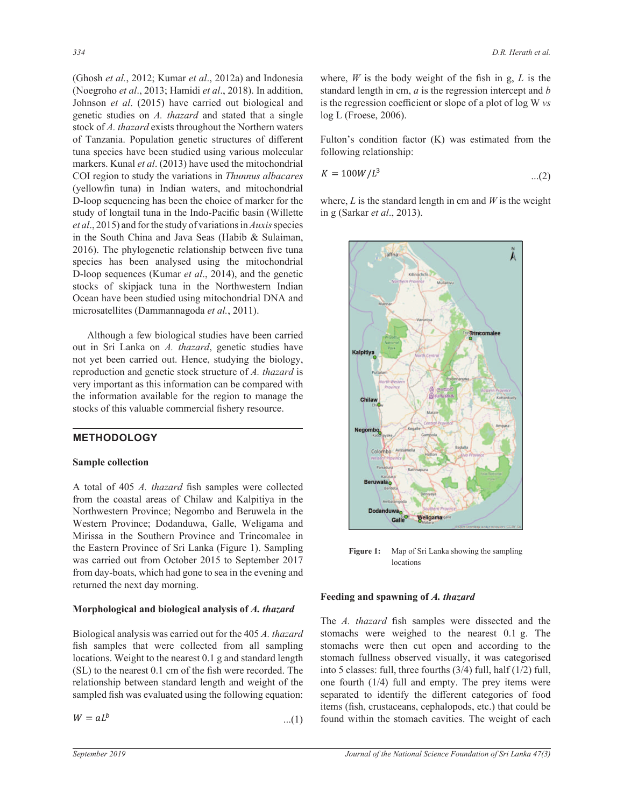(Ghosh *et al.*, 2012; Kumar *et al*., 2012a) and Indonesia (Noegroho *et al*., 2013; Hamidi *et al*., 2018). In addition, Johnson *et al*. (2015) have carried out biological and genetic studies on *A. thazard* and stated that a single stock of *A. thazard* exists throughout the Northern waters of Tanzania. Population genetic structures of different tuna species have been studied using various molecular markers. Kunal *et al*. (2013) have used the mitochondrial COI region to study the variations in *Thunnus albacares* (yellowfin tuna) in Indian waters, and mitochondrial D-loop sequencing has been the choice of marker for the study of longtail tuna in the Indo-Pacific basin (Willette *et al.*, 2015) and for the study of variations in *Auxis* species in the South China and Java Seas (Habib & Sulaiman,  $2016$ ). The phylogenetic relationship between five tuna species has been analysed using the mitochondrial D-loop sequences (Kumar *et al*., 2014), and the genetic stocks of skipjack tuna in the Northwestern Indian Ocean have been studied using mitochondrial DNA and microsatellites (Dammannagoda *et al.*, 2011).

 Although a few biological studies have been carried out in Sri Lanka on *A. thazard*, genetic studies have not yet been carried out. Hence, studying the biology, reproduction and genetic stock structure of *A. thazard* is very important as this information can be compared with the information available for the region to manage the stocks of this valuable commercial fishery resource.

# **METHODOLOGY**

## **Sample collection**

A total of 405 *A. thazard* fish samples were collected from the coastal areas of Chilaw and Kalpitiya in the Northwestern Province; Negombo and Beruwela in the Western Province; Dodanduwa, Galle, Weligama and Mirissa in the Southern Province and Trincomalee in the Eastern Province of Sri Lanka (Figure 1). Sampling was carried out from October 2015 to September 2017 from day-boats, which had gone to sea in the evening and returned the next day morning.

## **Morphological and biological analysis of** *A. thazard*

Biological analysis was carried out for the 405 *A. thazard* fish samples that were collected from all sampling locations. Weight to the nearest 0.1 g and standard length (SL) to the nearest 0.1 cm of the fish were recorded. The relationship between standard length and weight of the sampled fish was evaluated using the following equation:

$$
W = aL^b \qquad \qquad \dots (1)
$$

where,  $W$  is the body weight of the fish in g,  $L$  is the standard length in cm, *a* is the regression intercept and *b*  is the regression coefficient or slope of a plot of log W vs log L (Froese, 2006).

Fulton's condition factor  $(K)$  was estimated from the following relationship:

$$
K = 100W/L^3 \tag{2}
$$

in g (Sarkar *et al.*, 2013). where,  $L$  is the standard length in cm and  $W$  is the weight



**Figure 1:** Map of Sri Lanka showing the sampling locations

## **Feeding and spawning of** *A. thazard*

The *A. thazard* fish samples were dissected and the stomachs were weighed to the nearest 0.1 g. The stomachs were then cut open and according to the stomach fullness observed visually, it was categorised into 5 classes: full, three fourths (3/4) full, half (1/2) full, one fourth (1/4) full and empty. The prey items were separated to identify the different categories of food items (fish, crustaceans, cephalopods, etc.) that could be found within the stomach cavities. The weight of each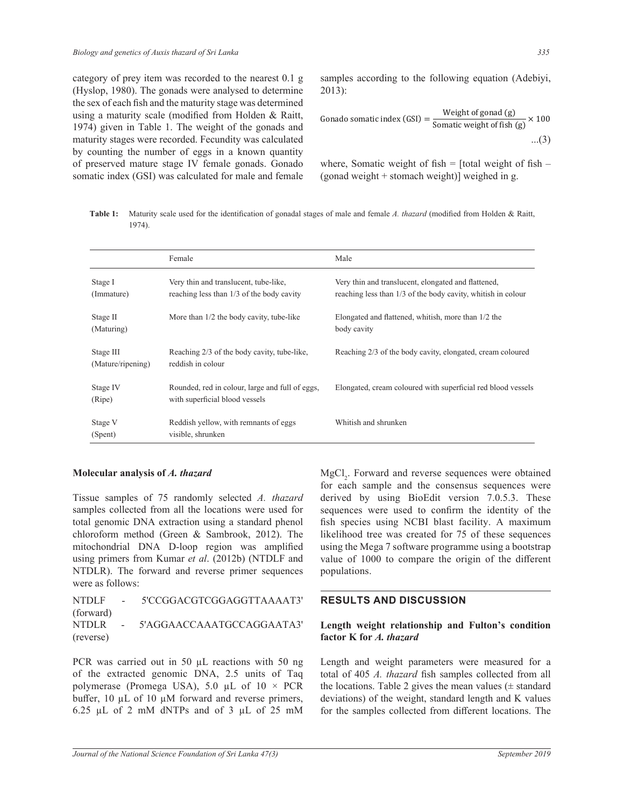category of prey item was recorded to the nearest 0.1 g (Hyslop, 1980). The gonads were analysed to determine the sex of each fish and the maturity stage was determined using a maturity scale (modified from Holden & Raitt, 1974) given in Table 1. The weight of the gonads and maturity stages were recorded. Fecundity was calculated by counting the number of eggs in a known quantity of preserved mature stage IV female gonads. Gonado somatic index (GSI) was calculated for male and female samples according to the following equation (Adebiyi, 2013):

Gonado somatic index (GSI) = 
$$
\frac{\text{Weight of gonad (g)}}{\text{Somatic weight of fish (g)}} \times 100
$$
...(3)

where, Somatic weight of fish  $=$  [total weight of fish  $-$ (gonad weight + stomach weight)] weighed in g.

Table 1: Maturity scale used for the identification of gonadal stages of male and female A. thazard (modified from Holden & Raitt, 1974).

|                                | Female                                                                             | Male                                                                                                                |  |
|--------------------------------|------------------------------------------------------------------------------------|---------------------------------------------------------------------------------------------------------------------|--|
| Stage I<br>(Immature)          | Very thin and translucent, tube-like,<br>reaching less than 1/3 of the body cavity | Very thin and translucent, elongated and flattened,<br>reaching less than 1/3 of the body cavity, whitish in colour |  |
| Stage II<br>(Maturing)         | More than 1/2 the body cavity, tube-like                                           | Elongated and flattened, whitish, more than 1/2 the<br>body cavity                                                  |  |
| Stage III<br>(Mature/ripening) | Reaching 2/3 of the body cavity, tube-like,<br>reddish in colour                   | Reaching 2/3 of the body cavity, elongated, cream coloured                                                          |  |
| Stage IV<br>(Ripe)             | Rounded, red in colour, large and full of eggs,<br>with superficial blood vessels  | Elongated, cream coloured with superficial red blood vessels                                                        |  |
| Stage V<br>(Spent)             | Reddish yellow, with remnants of eggs<br>visible, shrunken                         | Whitish and shrunken                                                                                                |  |

## **Molecular analysis of** *A. thazard*

Tissue samples of 75 randomly selected *A. thazard* samples collected from all the locations were used for total genomic DNA extraction using a standard phenol chloroform method (Green & Sambrook, 2012). The mitochondrial DNA D-loop region was amplified using primers from Kumar *et al*. (2012b) (NTDLF and NTDLR). The forward and reverse primer sequences were as follows:

NTDLF - 5'CCGGACGTCGGAGGTTAAAAT3' (forward) NTDLR - 5'AGGAACCAAATGCCAGGAATA3' (reverse)

PCR was carried out in 50  $\mu$ L reactions with 50 ng of the extracted genomic DNA, 2.5 units of Taq polymerase (Promega USA), 5.0 µL of  $10 \times PCR$ buffer,  $10 \mu L$  of  $10 \mu M$  forward and reverse primers,  $6.25$  µL of 2 mM dNTPs and of 3 µL of 25 mM

MgCl<sub>2</sub>. Forward and reverse sequences were obtained for each sample and the consensus sequences were derived by using BioEdit version 7.0.5.3. These sequences were used to confirm the identity of the fish species using NCBI blast facility. A maximum likelihood tree was created for 75 of these sequences using the Mega 7 software programme using a bootstrap value of 1000 to compare the origin of the different populations.

# **RESULTS AND DISCUSSION**

# **Length weight relationship and Fulton's condition factor K for** *A. thazard*

Length and weight parameters were measured for a total of 405 *A. thazard* fish samples collected from all the locations. Table 2 gives the mean values  $(\pm$  standard deviations) of the weight, standard length and K values for the samples collected from different locations. The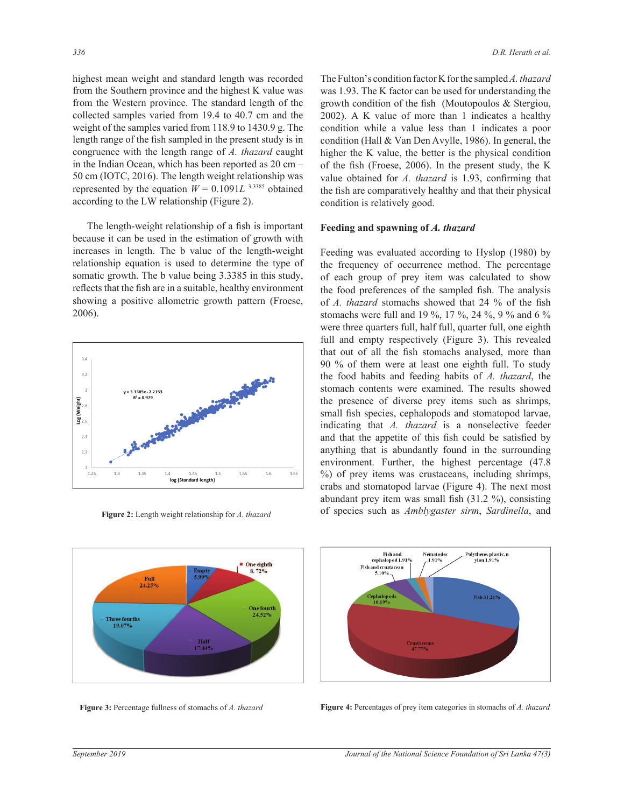highest mean weight and standard length was recorded from the Southern province and the highest K value was from the Western province. The standard length of the collected samples varied from 19.4 to 40.7 cm and the weight of the samples varied from 118.9 to 1430.9 g. The length range of the fish sampled in the present study is in congruence with the length range of *A. thazard* caught in the Indian Ocean, which has been reported as 20 cm *–* 50 cm (IOTC, 2016). The length weight relationship was represented by the equation  $W = 0.1091L$ <sup>3.3385</sup> obtained according to the LW relationship (Figure 2).

The length-weight relationship of a fish is important because it can be used in the estimation of growth with increases in length. The b value of the length-weight relationship equation is used to determine the type of somatic growth. The b value being 3.3385 in this study, FRUGHT SERVICE TO THE VEHICLOGIC DESCRIPTION OF THE THIND, showing a positive allometric growth pattern (Froese, 2006).



Figure 2: Length weight relationship for *A. thazard* 

The Fulton's condition factor K for the sampled *A. thazard* was 1.93. The K factor can be used for understanding the growth condition of the fish (Moutopoulos  $&$  Stergiou, 2002). A K value of more than 1 indicates a healthy condition while a value less than 1 indicates a poor condition (Hall & Van Den Avylle, 1986). In general, the higher the K value, the better is the physical condition of the fish (Froese, 2006). In the present study, the K value obtained for *A. thazard* is 1.93, confirming that the fish are comparatively healthy and that their physical condition is relatively good.

## **Feeding and spawning of** *A. thazard*

Feeding was evaluated according to Hyslop (1980) by the frequency of occurrence method. The percentage of each group of prey item was calculated to show the food preferences of the sampled fish. The analysis of *A. thazard* stomachs showed that 24 % of the fish stomachs were full and 19 %, 17 %, 24 %, 9 % and 6 % were three quarters full, half full, quarter full, one eighth full and empty respectively (Figure 3). This revealed that out of all the fish stomachs analysed, more than 90 % of them were at least one eighth full. To study the food habits and feeding habits of *A. thazard*, the stomach contents were examined. The results showed the presence of diverse prey items such as shrimps, small fish species, cephalopods and stomatopod larvae, indicating that *A. thazard* is a nonselective feeder and that the appetite of this fish could be satisfied by anything that is abundantly found in the surrounding environment. Further, the highest percentage (47.8 %) of prey items was crustaceans, including shrimps, crabs and stomatopod larvae (Figure 4). The next most abundant prey item was small fish  $(31.2 \%)$ , consisting of species such as *Amblygaster sirm*, *Sardinella*, and





**Figure 3:** Percentage fullness of stomachs of A. thazard **Figure 4:** Percentages of prey item categories in stomachs of A. thazard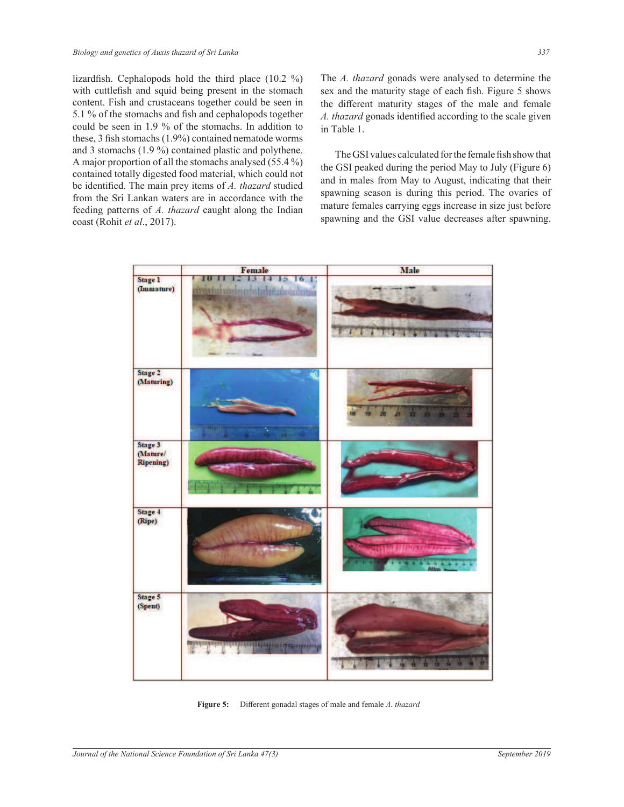lizardfish. Cephalopods hold the third place  $(10.2 \%)$ with cuttlefish and squid being present in the stomach content. Fish and crustaceans together could be seen in 5.1 % of the stomachs and fish and cephalopods together could be seen in 1.9 % of the stomachs. In addition to these,  $3$  fish stomachs (1.9%) contained nematode worms and 3 stomachs (1.9 %) contained plastic and polythene. A major proportion of all the stomachs analysed (55.4 %) contained totally digested food material, which could not be identified. The main prey items of A. thazard studied from the Sri Lankan waters are in accordance with the feeding patterns of *A. thazard* caught along the Indian coast (Rohit *et al*., 2017).

The *A. thazard* gonads were analysed to determine the sex and the maturity stage of each fish. Figure 5 shows the different maturity stages of the male and female A. thazard gonads identified according to the scale given in Table 1.

The GSI values calculated for the female fish show that the GSI peaked during the period May to July (Figure 6) and in males from May to August, indicating that their spawning season is during this period. The ovaries of mature females carrying eggs increase in size just before spawning and the GSI value decreases after spawning.



Figure 5: Different gonadal stages of male and female A. thazard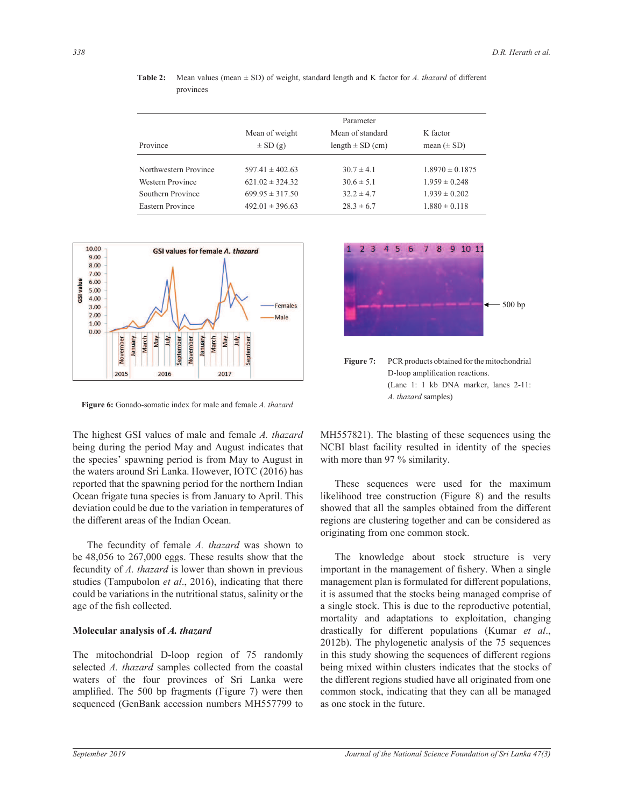|                       | Parameter           |                      |                     |
|-----------------------|---------------------|----------------------|---------------------|
|                       | Mean of weight      | Mean of standard     | K factor            |
| Province              | $\pm$ SD (g)        | length $\pm$ SD (cm) | mean $(\pm SD)$     |
| Northwestern Province | $597.41 \pm 402.63$ | $30.7 \pm 4.1$       | $1.8970 \pm 0.1875$ |
| Western Province      | $621.02 \pm 324.32$ | $30.6 \pm 5.1$       | $1.959 \pm 0.248$   |
| Southern Province     | $699.95 \pm 317.50$ | $32.2 \pm 4.7$       | $1.939 \pm 0.202$   |
| Eastern Province      | $492.01 \pm 396.63$ | $28.3 \pm 6.7$       | $1.880 \pm 0.118$   |
|                       |                     |                      |                     |

Table 2: Mean values (mean  $\pm$  SD) of weight, standard length and K factor for *A. thazard* of different provinces



**Figure 6:** Gonado-somatic index for male and female *A. thazard* 

The highest GSI values of male and female *A. thazard* being during the period May and August indicates that the species' spawning period is from May to August in the waters around Sri Lanka. However, IOTC (2016) has reported that the spawning period for the northern Indian Ocean frigate tuna species is from January to April. This deviation could be due to the variation in temperatures of the different areas of the Indian Ocean.

The fecundity of female *A. thazard* was shown to be 48,056 to 267,000 eggs. These results show that the fecundity of *A. thazard* is lower than shown in previous studies (Tampubolon *et al*., 2016), indicating that there could be variations in the nutritional status, salinity or the age of the fish collected.

#### **Molecular analysis of** *A. thazard*

The mitochondrial D-loop region of 75 randomly selected *A. thazard* samples collected from the coastal waters of the four provinces of Sri Lanka were amplified. The 500 bp fragments (Figure 7) were then sequenced (GenBank accession numbers MH557799 to



MH557821). The blasting of these sequences using the indicates that NCBI blast facility resulted in identity of the species y to August in with more than 97 % similarity.

orthern Indian These sequences were used for the maximum luary to April. This likelihood tree construction (Figure 8) and the results emperatures of showed that all the samples obtained from the different n. The regions are clustering together and can be considered as originating from one common stock.

> The knowledge about stock structure is very important in the management of fishery. When a single management plan is formulated for different populations, it is assumed that the stocks being managed comprise of a single stock. This is due to the reproductive potential, mortality and adaptations to exploitation, changing drastically for different populations (Kumar et al., 2012b). The phylogenetic analysis of the 75 sequences in this study showing the sequences of different regions being mixed within clusters indicates that the stocks of the different regions studied have all originated from one common stock, indicating that they can all be managed as one stock in the future.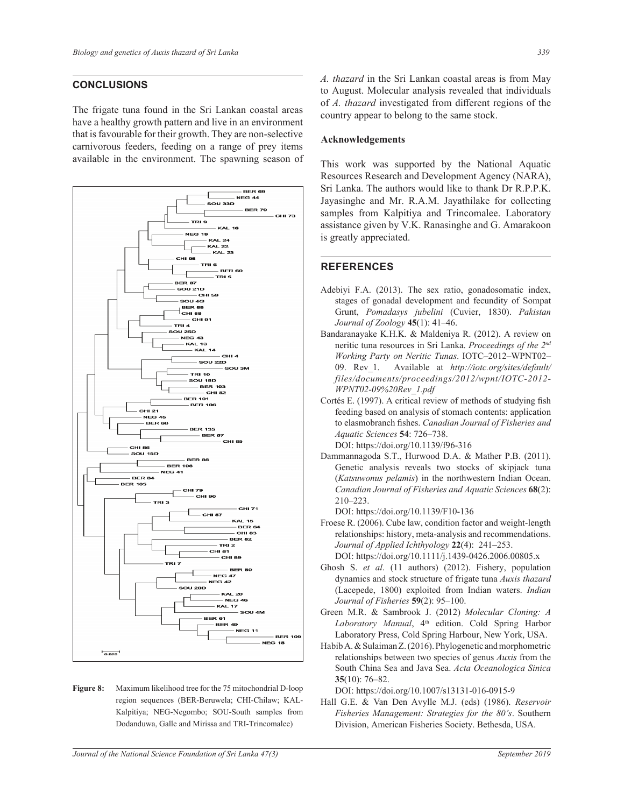## **CONCLUSIONS**

The frigate tuna found in the Sri Lankan coastal areas have a healthy growth pattern and live in an environment that is favourable for their growth. They are non-selective carnivorous feeders, feeding on a range of prey items available in the environment. The spawning season of



**Figure 8:** Maximum likelihood tree for the 75 mitochondrial D-loop region sequences (BER-Beruwela; CHI-Chilaw; KAL-Kalpitiya; NEG-Negombo; SOU-South samples from Dodanduwa, Galle and Mirissa and TRI-Trincomalee)

A. thazard in the Sri Lankan coastal areas is from May to August. Molecular analysis revealed that individuals of *A. thazard* investigated from different regions of the country appear to belong to the same stock.

#### **Acknowledgements**

This work was supported by the National Aquatic Resources Research and Development Agency (NARA), Sri Lanka. The authors would like to thank Dr R.P.P.K. Jayasinghe and Mr. R.A.M. Jayathilake for collecting samples from Kalpitiya and Trincomalee. Laboratory assistance given by V.K. Ranasinghe and G. Amarakoon is greatly appreciated.

#### **REFERENCES**

- Adebiyi F.A. (2013). The sex ratio, gonadosomatic index, stages of gonadal development and fecundity of Sompat Grunt, Pomadasys jubelini (Cuvier, 1830). Pakistan *Journal of Zoology* 45(1): 41–46.
- Bandaranayake K.H.K. & Maldeniya R. (2012). A review on neritic tuna resources in Sri Lanka. *Proceedings of the 2<sup>nd</sup> Working Party on Neritic Tunas.* IOTC-2012-WPNT02-09. Rev 1. Available at http://iotc.org/sites/default/  $files/documents/procedureedings/2012/wpnt/IOTC-2012-$ *WPNT02-09%20Rev 1.pdf*
- Cortés E. (1997). A critical review of methods of studying fish feeding based on analysis of stomach contents: application to elasmobranch fishes. Canadian Journal of Fisheries and *\$TXDWLF6FLHQFHV* **54**: 726–738. DOI: https://doi.org/10.1139/f96-316
- Dammannagoda S.T., Hurwood D.A. & Mather P.B. (2011). Genetic analysis reveals two stocks of skipjack tuna (*Katsuwonus pelamis*) in the northwestern Indian Ocean. *Canadian Journal of Fisheries and Aquatic Sciences* 68(2): 210–223.

DOI: https://doi.org/10.1139/F10-136

- Froese R. (2006). Cube law, condition factor and weight-length relationships: history, meta-analysis and recommendations. *Journal of Applied Ichthyology* 22(4): 241–253. DOI: https://doi.org/10.1111/j.1439-0426.2006.00805.x
- Ghosh S. *et al*. (11 authors) (2012). Fishery, population dynamics and stock structure of frigate tuna *Auxis thazard* (Lacepede, 1800) exploited from Indian waters. *Indian Journal of Fisheries* **59**(2): 95–100.
- Green M.R. & Sambrook J. (2012) *Molecular Cloning: A* Laboratory Manual, 4<sup>th</sup> edition. Cold Spring Harbor Laboratory Press, Cold Spring Harbour, New York, USA.
- Habib A. & Sulaiman Z. (2016). Phylogenetic and morphometric relationships between two species of genus *Auxis* from the South China Sea and Java Sea. Acta Oceanologica Sinica **35**(10): 76–82.
	- DOI: https://doi.org/10.1007/s13131-016-0915-9
- Hall G.E. & Van Den Avylle M.J. (eds) (1986). *Reservoir Fisheries Management: Strategies for the 80's.* Southern Division, American Fisheries Society. Bethesda, USA.